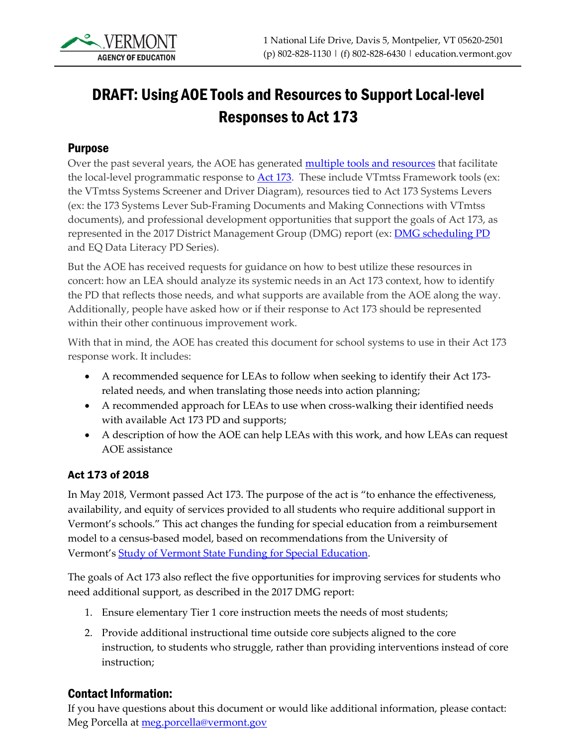# DRAFT: Using AOE Tools and Resources to Support Local-level Responses to Act 173

#### Purpose

Over the past several years, the AOE has generated **multiple tools and resources** that facilitate the local-level programmatic response to [Act 173.](https://legislature.vermont.gov/Documents/2018/Docs/ACTS/ACT173/ACT173%20As%20Enacted.pdf) These include VTmtss Framework tools (ex: the VTmtss Systems Screener and Driver Diagram), resources tied to Act 173 Systems Levers (ex: the 173 Systems Lever Sub-Framing Documents and Making Connections with VTmtss documents), and professional development opportunities that support the goals of Act 173, as represented in the 2017 District Management Group (DMG) report (ex: **DMG scheduling PD** and EQ Data Literacy PD Series).

But the AOE has received requests for guidance on how to best utilize these resources in concert: how an LEA should analyze its systemic needs in an Act 173 context, how to identify the PD that reflects those needs, and what supports are available from the AOE along the way. Additionally, people have asked how or if their response to Act 173 should be represented within their other continuous improvement work.

With that in mind, the AOE has created this document for school systems to use in their Act 173 response work. It includes:

- A recommended sequence for LEAs to follow when seeking to identify their Act 173 related needs, and when translating those needs into action planning;
- A recommended approach for LEAs to use when cross-walking their identified needs with available Act 173 PD and supports;
- A description of how the AOE can help LEAs with this work, and how LEAs can request AOE assistance

#### Act 173 of 2018

In May 2018, Vermont passed Act 173. The purpose of the act is "to enhance the effectiveness, availability, and equity of services provided to all students who require additional support in Vermont's schools." This act changes the funding for special education from a reimbursement model to a census-based model, based on recommendations from the University of Vermont's [Study of Vermont State Funding for Special Education.](https://legislature.vermont.gov/assets/Legislative-Reports/edu-legislative-report-special-education-funding-study-executive-summary-and-full-report.pdf)

The goals of Act 173 also reflect the five opportunities for improving services for students who need additional support, as described in the 2017 DMG report:

- 1. Ensure elementary Tier 1 core instruction meets the needs of most students;
- 2. Provide additional instructional time outside core subjects aligned to the core instruction, to students who struggle, rather than providing interventions instead of core instruction;

#### Contact Information:

If you have questions about this document or would like additional information, please contact: Meg Porcella at [meg.porcella@vermont.gov](mailto:meg.porcella@vermont.gov)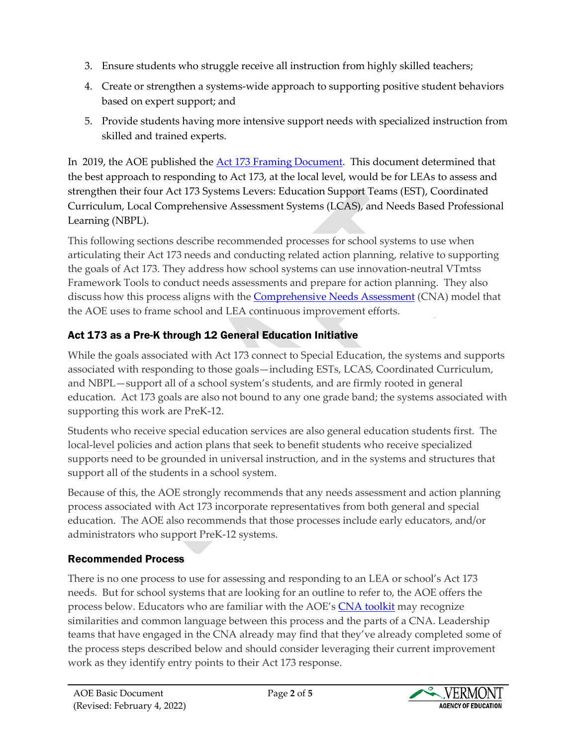- 3. Ensure students who struggle receive all instruction from highly skilled teachers;
- 4. Create or strengthen a systems-wide approach to supporting positive student behaviors based on expert support; and
- 5. Provide students having more intensive support needs with specialized instruction from skilled and trained experts.

In 2019, the AOE published the [Act 173 Framing Document.](https://teams.microsoft.com/l/file/868AC4D2-4494-4FC8-917E-C9C7E29A3575?tenantId=20b4933b-baad-433c-9c02-70edcc7559c6&fileType=docx&objectUrl=https%3A%2F%2Fvermontgov.sharepoint.com%2Fteams%2FAOE.StudentSupportServicesGroup%2FShared%20Documents%2FDivision%20Leads%20Team%2FChris) This document determined that the best approach to responding to Act 173, at the local level, would be for LEAs to assess and strengthen their four Act 173 Systems Levers: Education Support Teams (EST), Coordinated Curriculum, Local Comprehensive Assessment Systems (LCAS), and Needs Based Professional Learning (NBPL).

This following sections describe recommended processes for school systems to use when articulating their Act 173 needs and conducting related action planning, relative to supporting the goals of Act 173. They address how school systems can use innovation-neutral VTmtss Framework Tools to conduct needs assessments and prepare for action planning. They also discuss how this process aligns with the [Comprehensive Needs Assessment](https://education.vermont.gov/documents/edu-comprehensive-needs-assessment-toolkit) (CNA) model that the AOE uses to frame school and LEA continuous improvement efforts.

# Act 173 as a Pre-K through 12 General Education Initiative

While the goals associated with Act 173 connect to Special Education, the systems and supports associated with responding to those goals—including ESTs, LCAS, Coordinated Curriculum, and NBPL—support all of a school system's students, and are firmly rooted in general education. Act 173 goals are also not bound to any one grade band; the systems associated with supporting this work are PreK-12.

Students who receive special education services are also general education students first. The local-level policies and action plans that seek to benefit students who receive specialized supports need to be grounded in universal instruction, and in the systems and structures that support all of the students in a school system.

Because of this, the AOE strongly recommends that any needs assessment and action planning process associated with Act 173 incorporate representatives from both general and special education. The AOE also recommends that those processes include early educators, and/or administrators who support PreK-12 systems.

# Recommended Process

There is no one process to use for assessing and responding to an LEA or school's Act 173 needs. But for school systems that are looking for an outline to refer to, the AOE offers the process below. Educators who are familiar with the AOE's [CNA toolkit](https://education.vermont.gov/documents/edu-comprehensive-needs-assessment-toolkit) may recognize similarities and common language between this process and the parts of a CNA. Leadership teams that have engaged in the CNA already may find that they've already completed some of the process steps described below and should consider leveraging their current improvement work as they identify entry points to their Act 173 response.

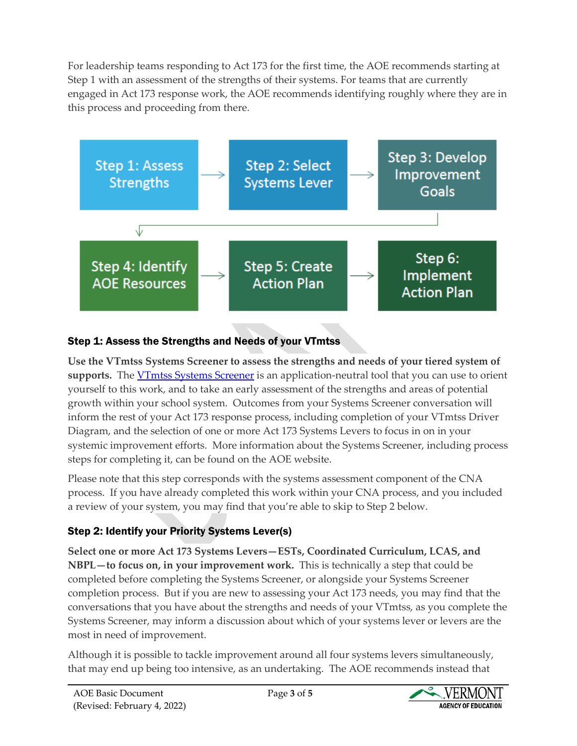For leadership teams responding to Act 173 for the first time, the AOE recommends starting at Step 1 with an assessment of the strengths of their systems. For teams that are currently engaged in Act 173 response work, the AOE recommends identifying roughly where they are in this process and proceeding from there.



# Step 1: Assess the Strengths and Needs of your VTmtss

**Use the VTmtss Systems Screener to assess the strengths and needs of your tiered system of**  supports.The **VTmtss Systems Screener** is an application-neutral tool that you can use to orient yourself to this work, and to take an early assessment of the strengths and areas of potential growth within your school system. Outcomes from your Systems Screener conversation will inform the rest of your Act 173 response process, including completion of your VTmtss Driver Diagram, and the selection of one or more Act 173 Systems Levers to focus in on in your systemic improvement efforts. More information about the Systems Screener, including process steps for completing it, can be found on the AOE website.

Please note that this step corresponds with the systems assessment component of the CNA process. If you have already completed this work within your CNA process, and you included a review of your system, you may find that you're able to skip to Step 2 below.

# Step 2: Identify your Priority Systems Lever(s)

**Select one or more Act 173 Systems Levers—ESTs, Coordinated Curriculum, LCAS, and NBPL—to focus on, in your improvement work.** This is technically a step that could be completed before completing the Systems Screener, or alongside your Systems Screener completion process. But if you are new to assessing your Act 173 needs, you may find that the conversations that you have about the strengths and needs of your VTmtss, as you complete the Systems Screener, may inform a discussion about which of your systems lever or levers are the most in need of improvement.

Although it is possible to tackle improvement around all four systems levers simultaneously, that may end up being too intensive, as an undertaking. The AOE recommends instead that

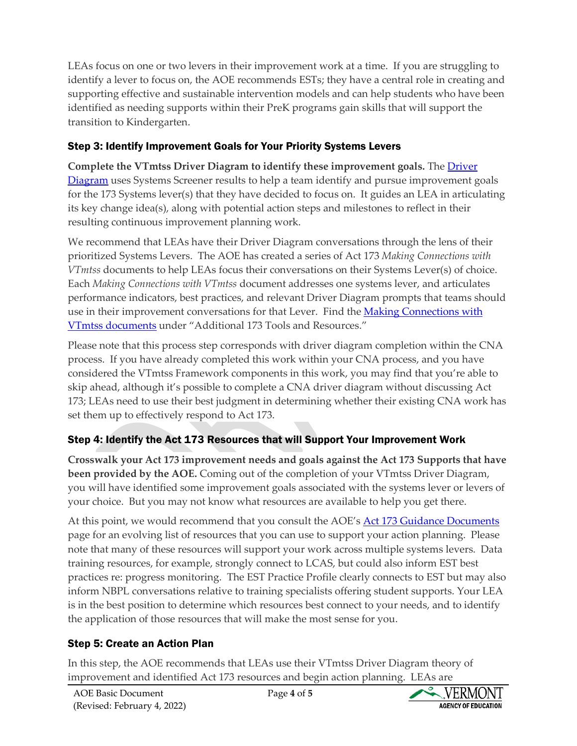LEAs focus on one or two levers in their improvement work at a time. If you are struggling to identify a lever to focus on, the AOE recommends ESTs; they have a central role in creating and supporting effective and sustainable intervention models and can help students who have been identified as needing supports within their PreK programs gain skills that will support the transition to Kindergarten.

#### Step 3: Identify Improvement Goals for Your Priority Systems Levers

**Complete the VTmtss Driver Diagram to identify these improvement goals.** Th[e Driver](https://education.vermont.gov/documents/vtmtss-driver-diagram)  [Diagram](https://education.vermont.gov/documents/vtmtss-driver-diagram) uses Systems Screener results to help a team identify and pursue improvement goals for the 173 Systems lever(s) that they have decided to focus on. It guides an LEA in articulating its key change idea(s), along with potential action steps and milestones to reflect in their resulting continuous improvement planning work.

We recommend that LEAs have their Driver Diagram conversations through the lens of their prioritized Systems Levers. The AOE has created a series of Act 173 *Making Connections with VTmtss* documents to help LEAs focus their conversations on their Systems Lever(s) of choice. Each *Making Connections with VTmtss* document addresses one systems lever, and articulates performance indicators, best practices, and relevant Driver Diagram prompts that teams should use in their improvement conversations for that Lever. Find the Making Connections with VTmtss [documents](https://education.vermont.gov/vermont-schools/education-laws/act-173/act-173-guidance-documents) under "Additional 173 Tools and Resources."

Please note that this process step corresponds with driver diagram completion within the CNA process. If you have already completed this work within your CNA process, and you have considered the VTmtss Framework components in this work, you may find that you're able to skip ahead, although it's possible to complete a CNA driver diagram without discussing Act 173; LEAs need to use their best judgment in determining whether their existing CNA work has set them up to effectively respond to Act 173.

# Step 4: Identify the Act 173 Resources that will Support Your Improvement Work

**Crosswalk your Act 173 improvement needs and goals against the Act 173 Supports that have been provided by the AOE.** Coming out of the completion of your VTmtss Driver Diagram, you will have identified some improvement goals associated with the systems lever or levers of your choice. But you may not know what resources are available to help you get there.

At this point, we would recommend that you consult the AOE's [Act 173 Guidance Documents](https://education.vermont.gov/vermont-schools/education-laws/act-173/act-173-guidance-documents) page for an evolving list of resources that you can use to support your action planning. Please note that many of these resources will support your work across multiple systems levers. Data training resources, for example, strongly connect to LCAS, but could also inform EST best practices re: progress monitoring. The EST Practice Profile clearly connects to EST but may also inform NBPL conversations relative to training specialists offering student supports. Your LEA is in the best position to determine which resources best connect to your needs, and to identify the application of those resources that will make the most sense for you.

# Step 5: Create an Action Plan

In this step, the AOE recommends that LEAs use their VTmtss Driver Diagram theory of improvement and identified Act 173 resources and begin action planning. LEAs are